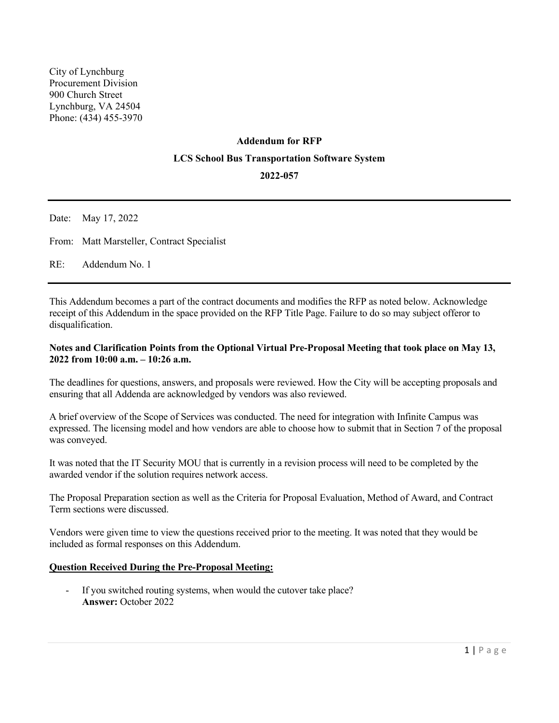# **Addendum for RFP LCS School Bus Transportation Software System**

## **2022-057**

Date: May 17, 2022

From: Matt Marsteller, Contract Specialist

RE: Addendum No. 1

This Addendum becomes a part of the contract documents and modifies the RFP as noted below. Acknowledge receipt of this Addendum in the space provided on the RFP Title Page. Failure to do so may subject offeror to disqualification.

## **Notes and Clarification Points from the Optional Virtual Pre-Proposal Meeting that took place on May 13, 2022 from 10:00 a.m. – 10:26 a.m.**

The deadlines for questions, answers, and proposals were reviewed. How the City will be accepting proposals and ensuring that all Addenda are acknowledged by vendors was also reviewed.

A brief overview of the Scope of Services was conducted. The need for integration with Infinite Campus was expressed. The licensing model and how vendors are able to choose how to submit that in Section 7 of the proposal was conveyed.

It was noted that the IT Security MOU that is currently in a revision process will need to be completed by the awarded vendor if the solution requires network access.

The Proposal Preparation section as well as the Criteria for Proposal Evaluation, Method of Award, and Contract Term sections were discussed.

Vendors were given time to view the questions received prior to the meeting. It was noted that they would be included as formal responses on this Addendum.

## **Question Received During the Pre-Proposal Meeting:**

- If you switched routing systems, when would the cutover take place? **Answer:** October 2022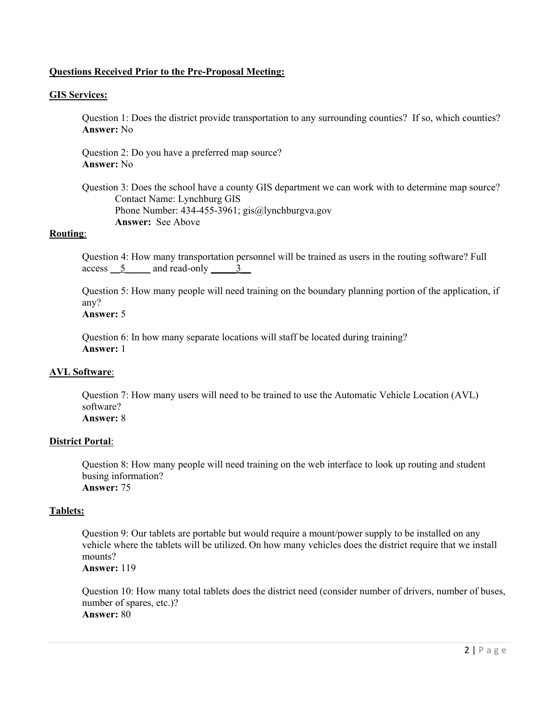## **Questions Received Prior to the Pre-Proposal Meeting:**

#### **GIS Services:**

Question 1: Does the district provide transportation to any surrounding counties? If so, which counties? **Answer:** No

Question 2: Do you have a preferred map source? **Answer:** No

Question 3: Does the school have a county GIS department we can work with to determine map source? Contact Name: Lynchburg GIS Phone Number: 434-455-3961; gis@lynchburgva.gov **Answer:** See Above

## **Routing**:

Question 4: How many transportation personnel will be trained as users in the routing software? Full access 5 and read-only 3

Question 5: How many people will need training on the boundary planning portion of the application, if any?

# **Answer:** 5

Question 6: In how many separate locations will staff be located during training? **Answer:** 1

# **AVL Software**:

Question 7: How many users will need to be trained to use the Automatic Vehicle Location (AVL) software? **Answer:** 8

#### **District Portal**:

Question 8: How many people will need training on the web interface to look up routing and student busing information? **Answer:** 75

#### **Tablets:**

Question 9: Our tablets are portable but would require a mount/power supply to be installed on any vehicle where the tablets will be utilized. On how many vehicles does the district require that we install mounts? **Answer:** 119

Question 10: How many total tablets does the district need (consider number of drivers, number of buses, number of spares, etc.)? **Answer:** 80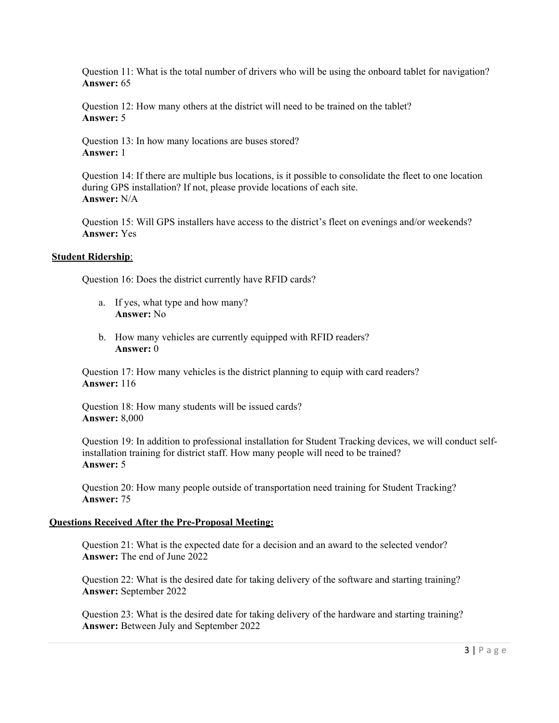Question 11: What is the total number of drivers who will be using the onboard tablet for navigation? **Answer:** 65

Question 12: How many others at the district will need to be trained on the tablet? **Answer:** 5

Question 13: In how many locations are buses stored? **Answer:** 1

Question 14: If there are multiple bus locations, is it possible to consolidate the fleet to one location during GPS installation? If not, please provide locations of each site. **Answer:** N/A

Question 15: Will GPS installers have access to the district's fleet on evenings and/or weekends? **Answer:** Yes

#### **Student Ridership**:

Question 16: Does the district currently have RFID cards?

- a. If yes, what type and how many? **Answer:** No
- b. How many vehicles are currently equipped with RFID readers? **Answer:** 0

Question 17: How many vehicles is the district planning to equip with card readers? **Answer:** 116

Question 18: How many students will be issued cards? **Answer:** 8,000

Question 19: In addition to professional installation for Student Tracking devices, we will conduct selfinstallation training for district staff. How many people will need to be trained? **Answer:** 5

Question 20: How many people outside of transportation need training for Student Tracking? **Answer:** 75

## **Questions Received After the Pre-Proposal Meeting:**

Question 21: What is the expected date for a decision and an award to the selected vendor? **Answer:** The end of June 2022

Question 22: What is the desired date for taking delivery of the software and starting training? **Answer:** September 2022

Question 23: What is the desired date for taking delivery of the hardware and starting training? **Answer:** Between July and September 2022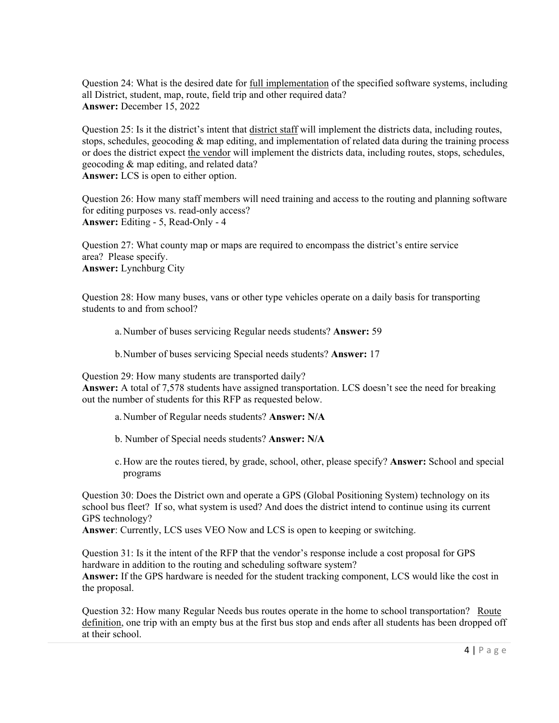Question 24: What is the desired date for full implementation of the specified software systems, including all District, student, map, route, field trip and other required data? **Answer:** December 15, 2022

Question 25: Is it the district's intent that district staff will implement the districts data, including routes, stops, schedules, geocoding  $\&$  map editing, and implementation of related data during the training process or does the district expect the vendor will implement the districts data, including routes, stops, schedules, geocoding & map editing, and related data? **Answer:** LCS is open to either option.

Question 26: How many staff members will need training and access to the routing and planning software for editing purposes vs. read-only access? **Answer:** Editing - 5, Read-Only - 4

Question 27: What county map or maps are required to encompass the district's entire service area? Please specify. **Answer:** Lynchburg City

Question 28: How many buses, vans or other type vehicles operate on a daily basis for transporting students to and from school?

a.Number of buses servicing Regular needs students? **Answer:** 59

b.Number of buses servicing Special needs students? **Answer:** 17

Question 29: How many students are transported daily?

**Answer:** A total of 7,578 students have assigned transportation. LCS doesn't see the need for breaking out the number of students for this RFP as requested below.

- a.Number of Regular needs students? **Answer: N/A**
- b. Number of Special needs students? **Answer: N/A**
- c.How are the routes tiered, by grade, school, other, please specify? **Answer:** School and special programs

Question 30: Does the District own and operate a GPS (Global Positioning System) technology on its school bus fleet? If so, what system is used? And does the district intend to continue using its current GPS technology?

**Answer**: Currently, LCS uses VEO Now and LCS is open to keeping or switching.

Question 31: Is it the intent of the RFP that the vendor's response include a cost proposal for GPS hardware in addition to the routing and scheduling software system? **Answer:** If the GPS hardware is needed for the student tracking component, LCS would like the cost in the proposal.

Question 32: How many Regular Needs bus routes operate in the home to school transportation? Route definition, one trip with an empty bus at the first bus stop and ends after all students has been dropped off at their school.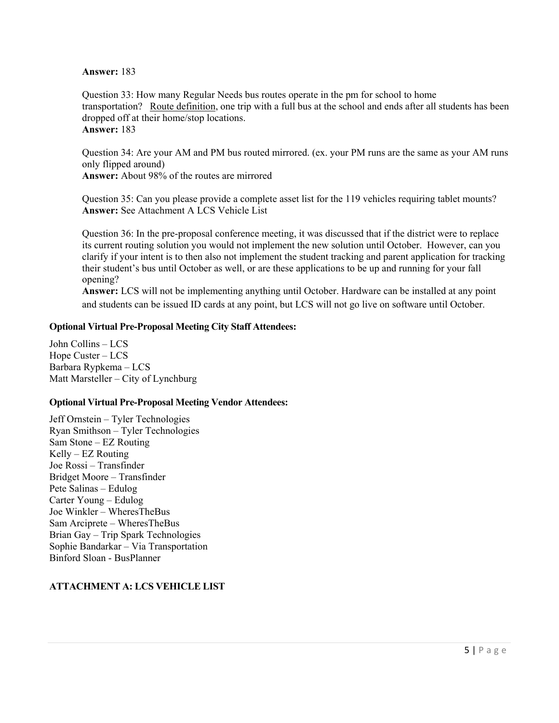**Answer:** 183

Question 33: How many Regular Needs bus routes operate in the pm for school to home transportation? Route definition, one trip with a full bus at the school and ends after all students has been dropped off at their home/stop locations. **Answer:** 183

Question 34: Are your AM and PM bus routed mirrored. (ex. your PM runs are the same as your AM runs only flipped around) **Answer:** About 98% of the routes are mirrored

Question 35: Can you please provide a complete asset list for the 119 vehicles requiring tablet mounts? **Answer:** See Attachment A LCS Vehicle List

Question 36: In the pre-proposal conference meeting, it was discussed that if the district were to replace its current routing solution you would not implement the new solution until October. However, can you clarify if your intent is to then also not implement the student tracking and parent application for tracking their student's bus until October as well, or are these applications to be up and running for your fall opening?

**Answer:** LCS will not be implementing anything until October. Hardware can be installed at any point and students can be issued ID cards at any point, but LCS will not go live on software until October.

## **Optional Virtual Pre-Proposal Meeting City Staff Attendees:**

John Collins – LCS Hope Custer – LCS Barbara Rypkema – LCS Matt Marsteller – City of Lynchburg

## **Optional Virtual Pre-Proposal Meeting Vendor Attendees:**

Jeff Ornstein – Tyler Technologies Ryan Smithson – Tyler Technologies Sam Stone – EZ Routing Kelly – EZ Routing Joe Rossi – Transfinder Bridget Moore – Transfinder Pete Salinas – Edulog Carter Young – Edulog Joe Winkler – WheresTheBus Sam Arciprete – WheresTheBus Brian Gay – Trip Spark Technologies Sophie Bandarkar – Via Transportation Binford Sloan - BusPlanner

# **ATTACHMENT A: LCS VEHICLE LIST**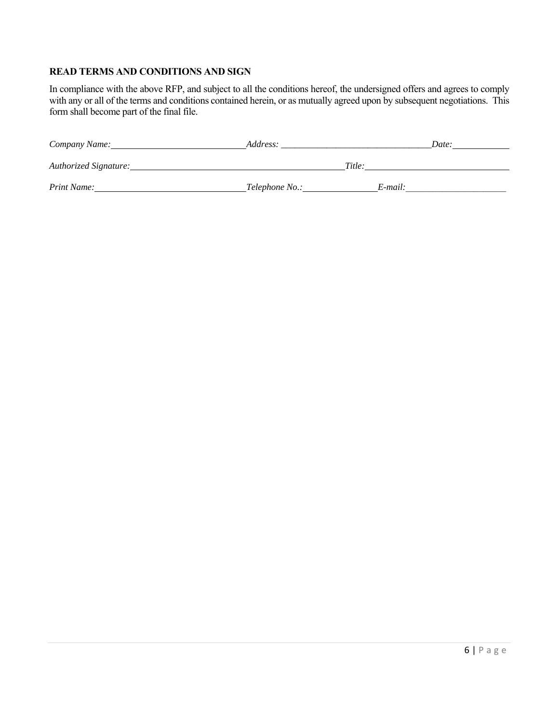# **READ TERMS AND CONDITIONS AND SIGN**

In compliance with the above RFP, and subject to all the conditions hereof, the undersigned offers and agrees to comply with any or all of the terms and conditions contained herein, or as mutually agreed upon by subsequent negotiations. This form shall become part of the final file.

| Company Name:         | Address:         |         | Date: |
|-----------------------|------------------|---------|-------|
| Authorized Signature: |                  | Title:  |       |
| Print Name:           | _Telephone No.:_ | E-mail: |       |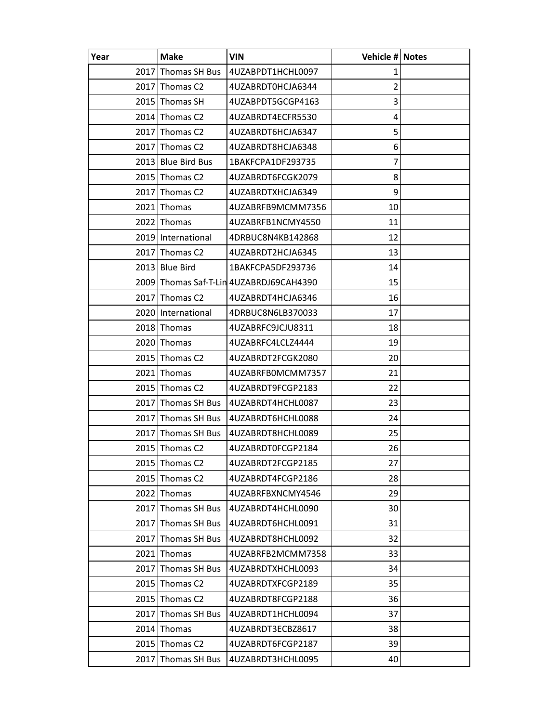| Year | Make                         | <b>VIN</b>                              | Vehicle # Notes |  |
|------|------------------------------|-----------------------------------------|-----------------|--|
|      | 2017 Thomas SH Bus           | 4UZABPDT1HCHL0097                       | 1               |  |
|      | $2017$ Thomas C <sub>2</sub> | 4UZABRDT0HCJA6344                       | $\overline{2}$  |  |
|      | 2015 Thomas SH               | 4UZABPDT5GCGP4163                       | 3               |  |
|      | $2014$ Thomas C <sub>2</sub> | 4UZABRDT4ECFR5530                       | 4               |  |
|      | $2017$ Thomas C <sub>2</sub> | 4UZABRDT6HCJA6347                       | 5               |  |
|      | $2017$ Thomas C <sub>2</sub> | 4UZABRDT8HCJA6348                       | 6               |  |
|      | 2013 Blue Bird Bus           | 1BAKFCPA1DF293735                       | 7               |  |
|      | 2015 Thomas C2               | 4UZABRDT6FCGK2079                       | 8               |  |
|      | $2017$ Thomas C <sub>2</sub> | 4UZABRDTXHCJA6349                       | 9               |  |
|      | $2021$ Thomas                | 4UZABRFB9MCMM7356                       | 10              |  |
|      | 2022 Thomas                  | 4UZABRFB1NCMY4550                       | 11              |  |
|      | 2019   International         | 4DRBUC8N4KB142868                       | 12              |  |
|      | $2017$ Thomas C <sub>2</sub> | 4UZABRDT2HCJA6345                       | 13              |  |
|      | 2013 Blue Bird               | 1BAKFCPA5DF293736                       | 14              |  |
|      |                              | 2009 Thomas Saf-T-Lin 4UZABRDJ69CAH4390 | 15              |  |
|      | 2017 Thomas C <sub>2</sub>   | 4UZABRDT4HCJA6346                       | 16              |  |
|      | 2020 International           | 4DRBUC8N6LB370033                       | 17              |  |
|      | 2018 Thomas                  | 4UZABRFC9JCJU8311                       | 18              |  |
|      | 2020 Thomas                  | 4UZABRFC4LCLZ4444                       | 19              |  |
|      | $2015$ Thomas C <sub>2</sub> | 4UZABRDT2FCGK2080                       | 20              |  |
|      | $2021$ Thomas                | 4UZABRFB0MCMM7357                       | 21              |  |
|      | 2015 Thomas C2               | 4UZABRDT9FCGP2183                       | 22              |  |
|      | 2017 Thomas SH Bus           | 4UZABRDT4HCHL0087                       | 23              |  |
|      | 2017 Thomas SH Bus           | 4UZABRDT6HCHL0088                       | 24              |  |
|      | 2017 Thomas SH Bus           | 4UZABRDT8HCHL0089                       | 25              |  |
|      | $2015$ Thomas C <sub>2</sub> | 4UZABRDT0FCGP2184                       | 26              |  |
|      | 2015 Thomas C <sub>2</sub>   | 4UZABRDT2FCGP2185                       | 27              |  |
|      | 2015 Thomas C2               | 4UZABRDT4FCGP2186                       | 28              |  |
|      | 2022 Thomas                  | 4UZABRFBXNCMY4546                       | 29              |  |
|      | 2017 Thomas SH Bus           | 4UZABRDT4HCHL0090                       | 30              |  |
| 2017 | Thomas SH Bus                | 4UZABRDT6HCHL0091                       | 31              |  |
| 2017 | Thomas SH Bus                | 4UZABRDT8HCHL0092                       | 32              |  |
|      | 2021 Thomas                  | 4UZABRFB2MCMM7358                       | 33              |  |
| 2017 | Thomas SH Bus                | 4UZABRDTXHCHL0093                       | 34              |  |
|      | 2015 Thomas C2               | 4UZABRDTXFCGP2189                       | 35              |  |
|      | $2015$ Thomas C <sub>2</sub> | 4UZABRDT8FCGP2188                       | 36              |  |
| 2017 | Thomas SH Bus                | 4UZABRDT1HCHL0094                       | 37              |  |
|      | $2014$ Thomas                | 4UZABRDT3ECBZ8617                       | 38              |  |
|      | 2015 Thomas C2               | 4UZABRDT6FCGP2187                       | 39              |  |
| 2017 | Thomas SH Bus                | 4UZABRDT3HCHL0095                       | 40              |  |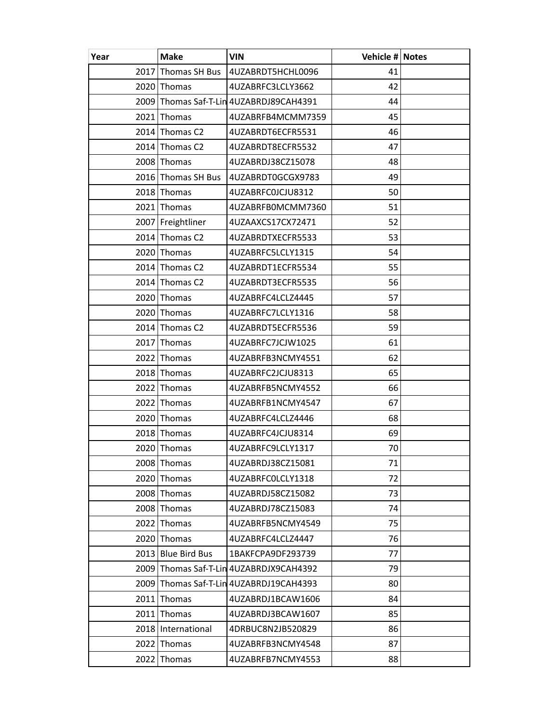| Year | Make                         | <b>VIN</b>                              | Vehicle # Notes |  |
|------|------------------------------|-----------------------------------------|-----------------|--|
|      | 2017 Thomas SH Bus           | 4UZABRDT5HCHL0096                       | 41              |  |
|      | 2020 Thomas                  | 4UZABRFC3LCLY3662                       | 42              |  |
|      |                              | 2009 Thomas Saf-T-Lin 4UZABRDJ89CAH4391 | 44              |  |
|      | 2021 Thomas                  | 4UZABRFB4MCMM7359                       | 45              |  |
|      | $2014$ Thomas C <sub>2</sub> | 4UZABRDT6ECFR5531                       | 46              |  |
|      | 2014 Thomas C2               | 4UZABRDT8ECFR5532                       | 47              |  |
|      | 2008 Thomas                  | 4UZABRDJ38CZ15078                       | 48              |  |
|      | 2016 Thomas SH Bus           | 4UZABRDT0GCGX9783                       | 49              |  |
|      | 2018 Thomas                  | 4UZABRFC0JCJU8312                       | 50              |  |
|      | 2021 Thomas                  | 4UZABRFB0MCMM7360                       | 51              |  |
|      | 2007 Freightliner            | 4UZAAXCS17CX72471                       | 52              |  |
|      | 2014 Thomas C2               | 4UZABRDTXECFR5533                       | 53              |  |
|      | 2020 Thomas                  | 4UZABRFC5LCLY1315                       | 54              |  |
|      | 2014 Thomas C2               | 4UZABRDT1ECFR5534                       | 55              |  |
|      | $2014$ Thomas C <sub>2</sub> | 4UZABRDT3ECFR5535                       | 56              |  |
|      | 2020 Thomas                  | 4UZABRFC4LCLZ4445                       | 57              |  |
|      | 2020 Thomas                  | 4UZABRFC7LCLY1316                       | 58              |  |
|      | 2014 Thomas C2               | 4UZABRDT5ECFR5536                       | 59              |  |
|      | 2017 Thomas                  | 4UZABRFC7JCJW1025                       | 61              |  |
|      | 2022 Thomas                  | 4UZABRFB3NCMY4551                       | 62              |  |
|      | 2018 Thomas                  | 4UZABRFC2JCJU8313                       | 65              |  |
|      | 2022 Thomas                  | 4UZABRFB5NCMY4552                       | 66              |  |
|      | 2022 Thomas                  | 4UZABRFB1NCMY4547                       | 67              |  |
|      | 2020 Thomas                  | 4UZABRFC4LCLZ4446                       | 68              |  |
|      | 2018 Thomas                  | 4UZABRFC4JCJU8314                       | 69              |  |
|      | 2020 Thomas                  | 4UZABRFC9LCLY1317                       | 70              |  |
|      | 2008 Thomas                  | 4UZABRDJ38CZ15081                       | 71              |  |
|      | 2020 Thomas                  | 4UZABRFC0LCLY1318                       | 72              |  |
|      | 2008 Thomas                  | 4UZABRDJ58CZ15082                       | 73              |  |
|      | 2008 Thomas                  | 4UZABRDJ78CZ15083                       | 74              |  |
|      | 2022 Thomas                  | 4UZABRFB5NCMY4549                       | 75              |  |
| 2020 | Thomas                       | 4UZABRFC4LCLZ4447                       | 76              |  |
|      | 2013 Blue Bird Bus           | 1BAKFCPA9DF293739                       | 77              |  |
| 2009 |                              | Thomas Saf-T-Lin 4UZABRDJX9CAH4392      | 79              |  |
| 2009 |                              | Thomas Saf-T-Lin 4UZABRDJ19CAH4393      | 80              |  |
|      | $2011$ Thomas                | 4UZABRDJ1BCAW1606                       | 84              |  |
|      | 2011 Thomas                  | 4UZABRDJ3BCAW1607                       | 85              |  |
|      | 2018   International         | 4DRBUC8N2JB520829                       | 86              |  |
|      | 2022 Thomas                  | 4UZABRFB3NCMY4548                       | 87              |  |
|      | 2022 Thomas                  | 4UZABRFB7NCMY4553                       | 88              |  |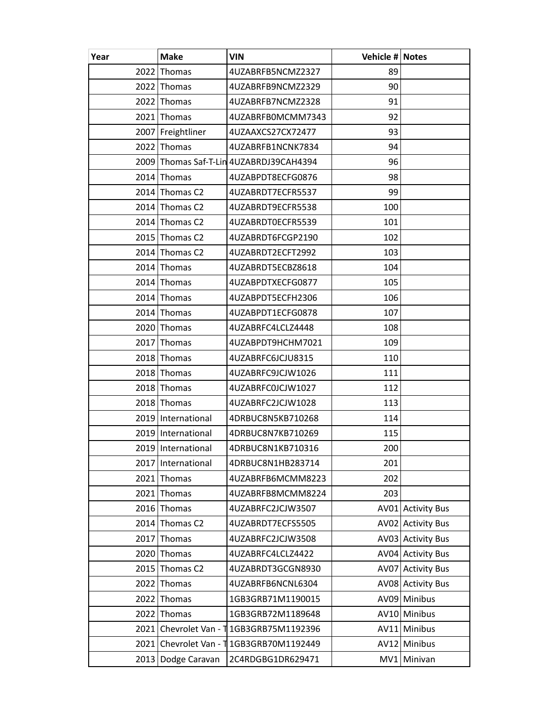| Year | <b>Make</b>                | <b>VIN</b>                              | Vehicle # Notes |                     |
|------|----------------------------|-----------------------------------------|-----------------|---------------------|
| 2022 | Thomas                     | 4UZABRFB5NCMZ2327                       | 89              |                     |
| 2022 | Thomas                     | 4UZABRFB9NCMZ2329                       | 90              |                     |
|      | 2022 Thomas                | 4UZABRFB7NCMZ2328                       | 91              |                     |
|      | 2021 Thomas                | 4UZABRFB0MCMM7343                       | 92              |                     |
|      | 2007 Freightliner          | 4UZAAXCS27CX72477                       | 93              |                     |
| 2022 | Thomas                     | 4UZABRFB1NCNK7834                       | 94              |                     |
|      |                            | 2009 Thomas Saf-T-Lin 4UZABRDJ39CAH4394 | 96              |                     |
|      | 2014 Thomas                | 4UZABPDT8ECFG0876                       | 98              |                     |
|      | 2014 Thomas C <sub>2</sub> | 4UZABRDT7ECFR5537                       | 99              |                     |
|      | $2014$ Thomas C2           | 4UZABRDT9ECFR5538                       | 100             |                     |
|      | 2014 Thomas C <sub>2</sub> | 4UZABRDT0ECFR5539                       | 101             |                     |
|      | 2015 Thomas C2             | 4UZABRDT6FCGP2190                       | 102             |                     |
|      | 2014 Thomas C2             | 4UZABRDT2ECFT2992                       | 103             |                     |
|      | 2014 Thomas                | 4UZABRDT5ECBZ8618                       | 104             |                     |
|      | 2014 Thomas                | 4UZABPDTXECFG0877                       | 105             |                     |
|      | 2014 Thomas                | 4UZABPDT5ECFH2306                       | 106             |                     |
|      | $2014$ Thomas              | 4UZABPDT1ECFG0878                       | 107             |                     |
|      | 2020 Thomas                | 4UZABRFC4LCLZ4448                       | 108             |                     |
| 2017 | Thomas                     | 4UZABPDT9HCHM7021                       | 109             |                     |
|      | 2018 Thomas                | 4UZABRFC6JCJU8315                       | 110             |                     |
|      | 2018 Thomas                | 4UZABRFC9JCJW1026                       | 111             |                     |
|      | 2018 Thomas                | 4UZABRFC0JCJW1027                       | 112             |                     |
|      | 2018 Thomas                | 4UZABRFC2JCJW1028                       | 113             |                     |
|      | 2019 International         | 4DRBUC8N5KB710268                       | 114             |                     |
|      | 2019 International         | 4DRBUC8N7KB710269                       | 115             |                     |
|      | 2019 International         | 4DRBUC8N1KB710316                       | 200             |                     |
|      | 2017 International         | 4DRBUC8N1HB283714                       | 201             |                     |
| 2021 | Thomas                     | 4UZABRFB6MCMM8223                       | 202             |                     |
| 2021 | Thomas                     | 4UZABRFB8MCMM8224                       | 203             |                     |
| 2016 | Thomas                     | 4UZABRFC2JCJW3507                       |                 | AV01 Activity Bus   |
| 2014 | Thomas C <sub>2</sub>      | 4UZABRDT7ECFS5505                       |                 | AV02 Activity Bus   |
| 2017 | Thomas                     | 4UZABRFC2JCJW3508                       |                 | AV03 Activity Bus   |
| 2020 | Thomas                     | 4UZABRFC4LCLZ4422                       |                 | AV04 Activity Bus   |
| 2015 | Thomas C <sub>2</sub>      | 4UZABRDT3GCGN8930                       | AV07            | <b>Activity Bus</b> |
| 2022 | Thomas                     | 4UZABRFB6NCNL6304                       |                 | AV08 Activity Bus   |
| 2022 | Thomas                     | 1GB3GRB71M1190015                       |                 | AV09 Minibus        |
| 2022 | Thomas                     | 1GB3GRB72M1189648                       |                 | AV10 Minibus        |
| 2021 |                            | Chevrolet Van - 11GB3GRB75M1192396      |                 | AV11 Minibus        |
| 2021 |                            | Chevrolet Van - 1 1GB3GRB70M1192449     |                 | AV12 Minibus        |
| 2013 | Dodge Caravan              | 2C4RDGBG1DR629471                       | MV1             | Minivan             |